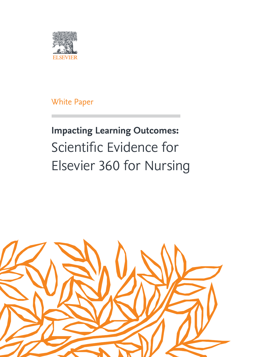

White Paper

# **Impacting Learning Outcomes:**  Scientific Evidence for Elsevier 360 for Nursing

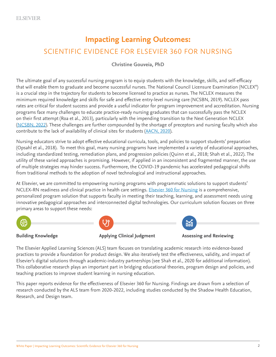### **Impacting Learning Outcomes:** SCIENTIFIC EVIDENCE FOR ELSEVIER 360 FOR NURSING

#### **Christine Gouveia, PhD**

The ultimate goal of any successful nursing program is to equip students with the knowledge, skills, and self-efficacy that will enable them to graduate and become successful nurses. The National Council Licensure Examination (NCLEX® ) is a crucial step in the trajectory for students to become licensed to practice as nurses. The NCLEX measures the minimum required knowledge and skills for safe and effective entry-level nursing care (NCSBN, 2019). NCLEX pass rates are critical for student success and provide a useful indicator for program improvement and accreditation. Nursing programs face many challenges to educate practice-ready nursing graduates that can successfully pass the NCLEX on their first attempt (Roa et al., 2013), particularly with the impending transition to the Next Generation NCLEX ([NCSBN, 2022](https://www.ncsbn.org/next-generation-nclex.htm)). These challenges are further compounded by the shortage of preceptors and nursing faculty which also contribute to the lack of availability of clinical sites for students [\(AACN, 2020](https://www.aacnnursing.org/news-information/fact-sheets/nursing-shortage)).

Nursing educators strive to adopt effective educational curricula, tools, and policies to support students' preparation (Opsahl et al., 2018). To meet this goal, many nursing programs have implemented a variety of educational approaches, including standardized testing, remediation plans, and progression policies (Quinn et al., 2018; Shah et al., 2022). The utility of these varied approaches is promising. However, if applied in an inconsistent and fragmented manner, the use of multiple strategies may hinder success. Furthermore, the COVID-19 pandemic has accelerated pedagogical shifts from traditional methods to the adoption of novel technological and instructional approaches.

At Elsevier, we are committed to empowering nursing programs with programmatic solutions to support students' NCLEX-RN readiness and clinical practice in health care settings. [Elsevier 360 for Nursing](https://evolve.elsevier.com/education/elsevier-program-solutions/) is a comprehensive, personalized program solution that supports faculty in meeting their teaching, learning, and assessment needs using innovative pedagogical approaches and interconnected digital technologies. Our curriculum solution focuses on three primary areas to support these needs:



**Building Knowledge The Applying Clinical Judgment Assessing and Reviewing** 



The Elsevier Applied Learning Sciences (ALS) team focuses on translating academic research into evidence-based practices to provide a foundation for product design. We also iteratively test the effectiveness, validity, and impact of Elsevier's digital solutions through academic-industry partnerships (see Shah et al., 2020 for additional information). This collaborative research plays an important part in bridging educational theories, program design and policies, and teaching practices to improve student learning in nursing education.

This paper reports evidence for the effectiveness of Elsevier 360 for Nursing. Findings are drawn from a selection of research conducted by the ALS team from 2020-2022, including studies conducted by the Shadow Health Education, Research, and Design team.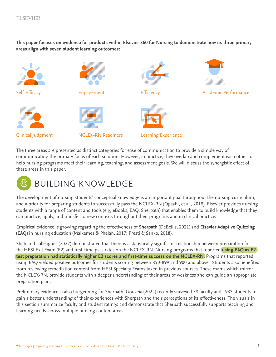**This paper focuses on evidence for products within Elsevier 360 for Nursing to demonstrate how its three primary areas align with seven student learning outcomes:** 



The three areas are presented as distinct categories for ease of communication to provide a simple way of communicating the primary focus of each solution. However, in practice, they overlap and complement each other to help nursing programs meet their learning, teaching, and assessment goals. We will discuss the synergistic effect of these areas in this paper.



The development of nursing students' conceptual knowledge is an important goal throughout the nursing curriculum, and a priority for preparing students to successfully pass the NCLEX-RN (Opsahl, et al., 2018). Elsevier provides nursing students with a range of content and tools (e.g, eBooks, EAQ, Sherpath) that enables them to build knowledge that they can practice, apply, and transfer to new contexts throughout their programs and in clinical practice.

Empirical evidence is growing regarding the effectiveness of **Sherpath** (DeBellis, 2021) and **Elsevier Adaptive Quizzing (EAQ)** in nursing education (Malkemes & Phelan, 2017; Presti & Sanko, 2018).

Shah and colleagues (2022) demonstrated that there is a statistically significant relationship between preparation for the HESI Exit Exam (E2) and first-time pass rates on the NCLEX-RN. Nursing programs that reported **using EAQ as E2 test preparation had statistically higher E2 scores and first-time success on the NCLEX-RN.** Programs that reported using EAQ yielded positive outcomes for students scoring between 850-899 and 900 and above. Students also benefited from reviewing remediation content from HESI Specialty Exams taken in previous courses. These exams which mirror the NCLEX-RN, provide students with a deeper understanding of their areas of weakness and can guide an appropriate preparation plan.

Preliminary evidence is also burgeoning for Sherpath. Gouveia (2022) recently surveyed 38 faculty and 1937 students to gain a better understanding of their experiences with Sherpath and their perceptions of its effectiveness. The visuals in this section summarize faculty and student ratings and demonstrate that Sherpath successfully supports teaching and learning needs across multiple nursing content areas.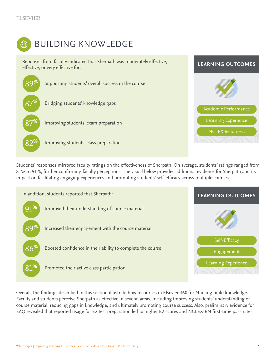

### BUILDING KNOWLEDGE

Reponses from faculty indicated that Sherpath was moderately effective, effective, or very effective for:



Students' responses mirrored faculty ratings on the effectiveness of Sherpath. On average, students' ratings ranged from 81% to 91%, further confirming faculty perceptions. The visual below provides additional evidence for Sherpath and its impact on facilitating engaging experiences and promoting students' self-efficacy across multiple courses.



Overall, the findings described in this section illustrate how resources in Elsevier 360 for Nursing build knowledge. Faculty and students perceive Sherpath as effective in several areas, including improving students' understanding of course material, reducing gaps in knowledge, and ultimately promoting course success. Also, preliminary evidence for EAQ revealed that reported usage for E2 test preparation led to higher E2 scores and NCLEX-RN first-time pass rates.

**LEARNING OUTCOMES**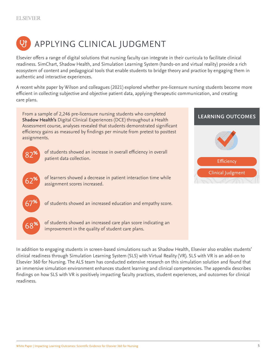

Elsevier offers a range of digital solutions that nursing faculty can integrate in their curricula to facilitate clinical readiness. SimChart, Shadow Health, and Simulation Learning System (hands-on and virtual reality) provide a rich ecosystem of content and pedagogical tools that enable students to bridge theory and practice by engaging them in authentic and interactive experiences.

A recent white paper by Wilson and colleagues (2021) explored whether pre-licensure nursing students become more efficient in collecting subjective and objective patient data, applying therapeutic communication, and creating care plans.



In addition to engaging students in screen-based simulations such as Shadow Health, Elsevier also enables students' clinical readiness through Simulation Learning System (SLS) with Virtual Reality (VR). SLS with VR is an add-on to Elsevier 360 for Nursing. The ALS team has conducted extensive research on this simulation solution and found that an immersive simulation environment enhances student learning and clinical competencies. The appendix describes findings on how SLS with VR is positively impacting faculty practices, student experiences, and outcomes for clinical readiness.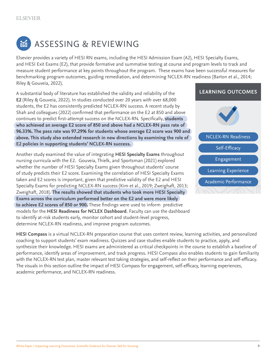

## ASSESSING & REVIEWING

Elsevier provides a variety of HESI RN exams, including the HESI Admission Exam (A2), HESI Specialty Exams, and HESI Exit Exams (E2), that provide formative and summative testing at course and program levels to track and measure student performance at key points throughout the program. These exams have been successful measures for benchmarking program outcomes, guiding remediation, and determining NCLEX-RN readiness (Barton et al., 2014; Riley & Gouveia, 2022).

A substantial body of literature has established the validity and reliability of the **E2** (Riley & Gouveia, 2022). In studies conducted over 20 years with over 68,000 students, the E2 has consistently predicted NCLEX-RN success. A recent study by Shah and colleagues (2022) confirmed that performance on the E2 at 850 and above continues to predict first-attempt success on the NCLEX-RN. Specifically, **students who achieved an average E2 score of 850 and above had a NCLEX-RN pass rate of 96.33%. The pass rate was 97.29% for students whose average E2 score was 900 and above. This study also extended research in new directions by examining the role of E2 policies in supporting students' NCLEX-RN success.**

Another study examined the value of integrating **HESI Specialty Exams** throughout nursing curricula with the E2. Gouveia, Thielk, and Sportsman (2021) explored whether the number of HESI Specialty Exams given throughout students' course of study predicts their E2 score. Examining the correlation of HESI Specialty Exams taken and E2 scores is important, given that predictive validity of the E2 and HESI Specialty Exams for predicting NCLEX-RN success (Kim et al., 2019; Zweighaft, 2013; Zweighaft, 2018). **The results showed that students who took more HESI Specialty Exams across the curriculum performed better on the E2 and were more likely to achieve E2 scores of 850 or 900.** These findings were used to inform predictive models for the **HESI Readiness for NCLEX Dashboard**. Faculty can use the dashboard to identify at-risk students early, monitor cohort and student-level progress, determine NCLEX-RN readiness, and improve program outcomes.





**HESI Compass** is a virtual NCLEX-RN preparation course that uses content review, learning activities, and personalized coaching to support students' exam readiness. Quizzes and case studies enable students to practice, apply, and synthesize their knowledge. HESI exams are administered as critical checkpoints in the course to establish a baseline of performance, identify areas of improvement, and track progress. HESI Compass also enables students to gain familiarity with the NCLEX-RN test plan, master relevant test taking strategies, and self-reflect on their performance and self-efficacy. The visuals in this section outline the impact of HESI Compass for engagement, self-efficacy, learning experiences, academic performance, and NCLEX-RN readiness.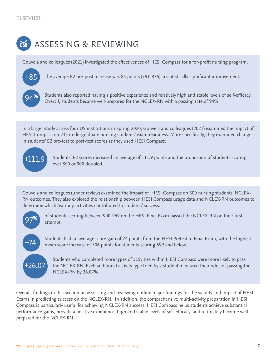### ASSESSING & REVIEWING 函

Gouveia and colleagues (2021) investigated the effectiveness of HESI Compass for a for-profit nursing program.



Students also reported having a positive experience and relatively high and stable levels of self-efficacy.

The average E2 pre-post increase was 85 points (791-876), a statistically significant improvement.

Overall, students became well-prepared for the NCLEX-RN with a passing rate of 94%.

In a larger study across four US institutions in Spring 2020, Gouveia and colleagues (2021) examined the impact of HESI Compass on 235 undergraduate nursing students' exam readiness. More specifically, they examined change in students' E2 pre-test to post-test scores as they used HESI Compass.



Students' E2 scores increased an average of 111.9 points and the proportion of students scoring over 850 or 900 doubled.

Gouveia and colleagues (under review) examined the impact of HESI Compass on 500 nursing students' NCLEX-RN outcomes. They also explored the relationship between HESI Compass usage data and NCLEX-RN outcomes to determine which learning activities contributed to students' success.



+74

of students scoring between 900-949 on the HESI Final Exam passed the NCLEX-RN on their first attempt.

Students had an average score gain of 74 points from the HESI Pretest to Final Exam, with the highest mean score increase of 306 points for students scoring 599 and below.



Students who completed more types of activities within HESI Compass were more likely to pass the NCLEX-RN. Each additional activity type tried by a student increased their odds of passing the NCLEX-RN by 26.07%.

Overall, findings in this section on assessing and reviewing outline major findings for the validity and impact of HESI Exams in predicting success on the NCLEX-RN. In addition, the comprehensive multi-activity preparation in HESI Compass is particularly useful for achieving NCLEX-RN success. HESI Compass helps students achieve substantial performance gains, provide a positive experience, high and stable levels of self-efficacy, and ultimately become wellprepared for the NCLEX-RN.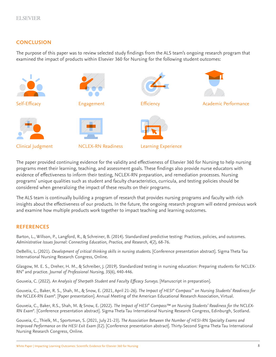#### **CONCLUSION**

The purpose of this paper was to review selected study findings from the ALS team's ongoing research program that examined the impact of products within Elsevier 360 for Nursing for the following student outcomes:



The paper provided continuing evidence for the validity and effectiveness of Elsevier 360 for Nursing to help nursing programs meet their learning, teaching, and assessment goals. These findings also provide nurse educators with evidence of effectiveness to inform their testing, NCLEX-RN preparation, and remediation processes. Nursing programs' unique qualities such as student and faculty characteristics, curricula, and testing policies should be considered when generalizing the impact of these results on their programs.

The ALS team is continually building a program of research that provides nursing programs and faculty with rich insights about the effectiveness of our products. In the future, the ongoing research program will extend previous work and examine how multiple products work together to impact teaching and learning outcomes.

#### **REFERENCES**

Barton, L., Willson, P., Langford, R., & Schreiner, B. (2014). Standardized predictive testing: Practices, policies, and outcomes. *Administrative Issues Journal: Connecting Education, Practice, and Research, 4*(2), 68-76.

DeBellis, L. (2021). *Development of critical thinking skills in nursing students.* [Conference presentation abstract]. Sigma Theta Tau International Nursing Research Congress, Online.

Glasgow, M. E. S., Dreher, H. M., & Schreiber, J. (2019). Standardized testing in nursing education: Preparing students for NCLEX-RN® and practice. *Journal of Professional Nursing, 35*(6), 440-446.

Gouveia, C. (2022). *An Analysis of Sherpath Student and Faculty Efficacy Surveys*. [Manuscript in preparation].

Gouveia, C., Baker, R. S., Shah, M., & Snow, E. (2021, April 21-26). *The Impact of HESI® Compass™ on Nursing Students' Readiness for the NCLEX-RN Exam®* . [Paper presentation]. Annual Meeting of the American Educational Research Association, Virtual.

Gouveia, C., Baker, R.S., Shah, M. & Snow, E. (2022). *The Impact of HESI® Compass™ on Nursing Students' Readiness for the NCLEX-RN Exam®* . [Conference presentation abstract]. Sigma Theta Tau International Nursing Research Congress, Edinburgh, Scotland.

Gouveia, C., Thielk, M., Sportsman, S. (2021, July 21-23). *The Association Between the Number of HESI-RN Specialty Exams and Improved Performance on the HESI Exit Exam (E2).* [Conference presentation abstract]. Thirty-Second Sigma Theta Tau International Nursing Research Congress, Online.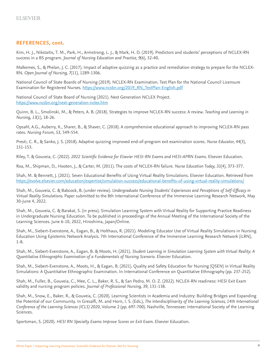#### **REFERENCES, cont.**

Kim, H. J., Nikstaitis, T. M., Park, H., Armstrong, L. J., & Mark, H. D. (2019). Predictors and students' perceptions of NCLEX-RN success in a BS program. *Journal of Nursing Education and Practice, 9*(6), 32-40.

Malkemes, S., & Phelan, J. C. (2017). Impact of adaptive quizzing as a practice and remediation strategy to prepare for the NCLEX-RN. *Open Journal of Nursing, 7*(11), 1289-1306.

National Council of State Boards of Nursing (2019). NCLEX-RN Examination. Test Plan for the National Council Licensure Examination for Registered Nurses. [https://www.ncsbn.org/2019\\_RN\\_TestPlan-English.pdf](https://www.ncsbn.org/2019_RN_TestPlan-English.pdf)

National Council of State Board of Nursing (2021). Next Generation NCLEX Project. <https://www.ncsbn.org/next-generation-nclex.htm>

Quinn, B. L., Smolinski, M., & Peters, A. B. (2018). Strategies to improve NCLEX-RN success: A review. *Teaching and Learning in Nursing, 13*(1), 18-26.

Opsahl, A.G., Auberry, K., Sharer, B., & Shaver, C. (2018). A comprehensive educational approach to improving NCLEX-RN pass rates. *Nursing Forum, 53*, 549-554.

Presti, C. R., & Sanko, J. S. (2018). Adaptive quizzing improved end-of-program exit examination scores. *Nurse Educator, 44*(3), 151-153.

Riley, T. & Gouveia, C. (2022). *2022 Scientific Evidence for Elsevier HESI-RN Exams and HESI-APRN Exams*. Elsevier Education.

Roa, M., Shipman, D., Hooten, J., & Carter, M. (2011). The costs of NCLEX-RN failure. *Nurse Education Today, 31*(4), 373-377.

Shah, M. & Bennett, J. (2021). Seven Educational Benefits of Using Virtual Reality Simulations. Elsevier Education. Retrieved from <https://evolve.elsevier.com/education/expertise/simulation-success/educational-benefits-of-using-virtual-reality-simulations/>

Shah, M., Gouveia, C. & Babcock, B. (under review). *Undergraduate Nursing Students' Experiences and Perceptions of Self-Efficacy in Virtual Reality Simulations.* Paper submitted to the 8th International Conference of the Immersive Learning Research Network, May 30-June 4, 2022.

Shah, M., Gouveia, C. & Barakat, S. (in press). Simulation Learning System with Virtual Reality for Supporting Practice Readiness in Undergraduate Nursing Education. To be published in proceedings of the Annual Meeting of the International Society of the Learning Sciences. June 6-10, 2022, Hiroshima, Japan/Online.

Shah, M., Siebert-Evenstone, A., Eagan, B., & Holthaus, R. (2021). Modeling Educator Use of Virtual Reality Simulations in Nursing Education Using Epistemic Network Analysis. 7th International Conference of the Immersive Learning Research Network (iLRN), 1-8.

Shah, M., Siebert-Evenstone, A., Eagan, B. & Moots, H. (2021). *Student Learning in Simulation Learning System with Virtual Reality: A Quantitative Ethnographic Examination of a Fundamentals of Nursing Scenario*. Elsevier Education.

Shah, M., Siebert-Evenstone, A., Moots, H., & Eagan, B. (2021). Quality and Safety Education for Nursing (QSEN) in Virtual Reality Simulations: A Quantitative Ethnographic Examination. In International Conference on Quantitative Ethnography (pp. 237-252).

Shah, M., Fuller, B., Gouveia, C., Mee, C. L., Baker, R. S., & San Pedro, M. O. Z. (2022). NCLEX-RN readiness: HESI Exit Exam validity and nursing program policies. *Journal of Professional Nursing, 39*, 131-138.

Shah, M., Snow, E., Baker, R., & Gouveia, C. (2020). Learning Scientists in Academia and Industry: Building Bridges and Expanding the Potential of our Community. In Gresalfi, M. and Horn, I. S. (Eds.), *The Interdisciplinarity of the Learning Sciences, 14th International Conference of the Learning Sciences (ICLS) 2020*, Volume 2 (pp. 697-700). Nashville, Tennessee: International Society of the Learning Sciences.

Sportsman, S. (2020). *HESI RN Specialty Exams Improve Scores on Exit Exam.* Elsevier Education.